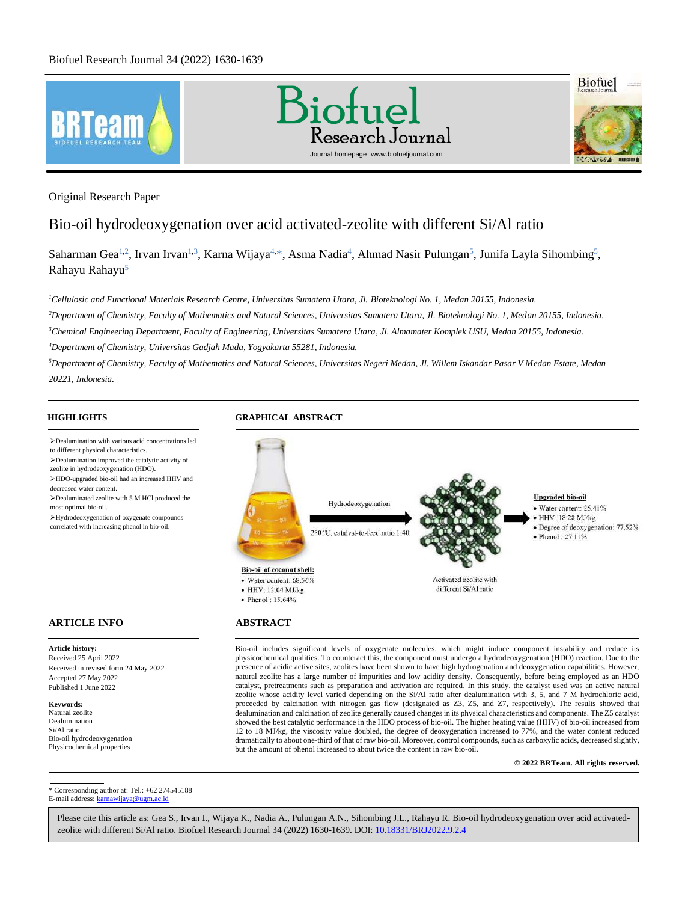

Original Research Paper

# Bio-oil hydrodeoxygenation over acid activated-zeolite with different Si/Al ratio

[Saharman Gea](#page-8-0)<sup>1,2</sup>, [Irvan Irvan](#page-8-1)<sup>1,3</sup>, [Karna Wijaya](#page-8-2)<sup>4,\*</sup>, [Asma Nadia](#page-9-0)<sup>4</sup>[, Ahmad Nasir Pulungan](#page-9-1)<sup>5</sup>, [Junifa Layla Sihombing](#page-9-2)<sup>5</sup>, [Rahayu Rahayu](#page-9-3)<sup>5</sup>

*<sup>1</sup>Cellulosic and Functional Materials Research Centre, Universitas Sumatera Utara, Jl. Bioteknologi No. 1, Medan 20155, Indonesia.*

*<sup>2</sup>Department of Chemistry, Faculty of Mathematics and Natural Sciences, Universitas Sumatera Utara, Jl. Bioteknologi No. 1, Medan 20155, Indonesia.*

*<sup>3</sup>Chemical Engineering Department, Faculty of Engineering, Universitas Sumatera Utara, Jl. Almamater Komplek USU, Medan 20155, Indonesia.*

*<sup>4</sup>Department of Chemistry, Universitas Gadjah Mada, Yogyakarta 55281, Indonesia.*

*<sup>5</sup>Department of Chemistry, Faculty of Mathematics and Natural Sciences, Universitas Negeri Medan, Jl. Willem Iskandar Pasar V Medan Estate, Medan 20221, Indonesia.*

# **HIGHLIGHTS GRAPHICAL ABSTRACT**

➢Dealumination with various acid concentrations led to different physical characteristics. ➢Dealumination improved the catalytic activity of zeolite in hydrodeoxygenation (HDO). ➢HDO-upgraded bio-oil had an increased HHV and decreased water content. ➢Dealuminated zeolite with 5 M HCl produced the Hydrodeoxygenation most optimal bio-oil. ➢Hydrodeoxygenation of oxygenate compounds correlated with increasing phenol in bio-oil. 250 °C, catalyst-to-feed ratio 1:40 Bio-oil of coconut shell: Activated zeolite with · Water content: 68.56% • HHV: 12.04 MJ/kg different Si/Al ratio  $\bullet$  Phenol: 15.64% **ARTICLE INFO ABSTRACT** 

**Upgraded bio-oil** · Water content: 25.41% · HHV: 18.28 MJ/kg · Degree of deoxygenation: 77.52%  $\bullet$  Phenol: 27.11%

**Article history:** Received 25 April 2022 Received in revised form 24 May 2022 Accepted 27 May 2022 Published 1 June 2022

**Keywords:** Natural zeolite Dealumination Si/Al ratio Bio-oil hydrodeoxygenation Physicochemical properties

Bio-oil includes significant levels of oxygenate molecules, which might induce component instability and reduce its physicochemical qualities. To counteract this, the component must undergo a hydrodeoxygenation (HDO) reaction. Due to the presence of acidic active sites, zeolites have been shown to have high hydrogenation and deoxygenation capabilities. However, natural zeolite has a large number of impurities and low acidity density. Consequently, before being employed as an HDO catalyst, pretreatments such as preparation and activation are required. In this study, the catalyst used was an active natural zeolite whose acidity level varied depending on the Si/Al ratio after dealumination with 3, 5, and 7 M hydrochloric acid, proceeded by calcination with nitrogen gas flow (designated as Z3, Z5, and Z7, respectively). The results showed that dealumination and calcination of zeolite generally caused changes in its physical characteristics and components. The Z5 catalyst showed the best catalytic performance in the HDO process of bio-oil. The higher heating value (HHV) of bio-oil increased from 12 to 18 MJ/kg, the viscosity value doubled, the degree of deoxygenation increased to 77%, and the water content reduced dramatically to about one-third of that of raw bio-oil. Moreover, control compounds, such as carboxylic acids, decreased slightly, but the amount of phenol increased to about twice the content in raw bio-oil.

**© 2022 BRTeam. All rights reserved.**

<span id="page-0-0"></span>\* Corresponding author at: Tel.: +62 274545188 E-mail address[: karnawijaya@ugm.ac.id](mailto:karnawijaya@ugm.ac.id)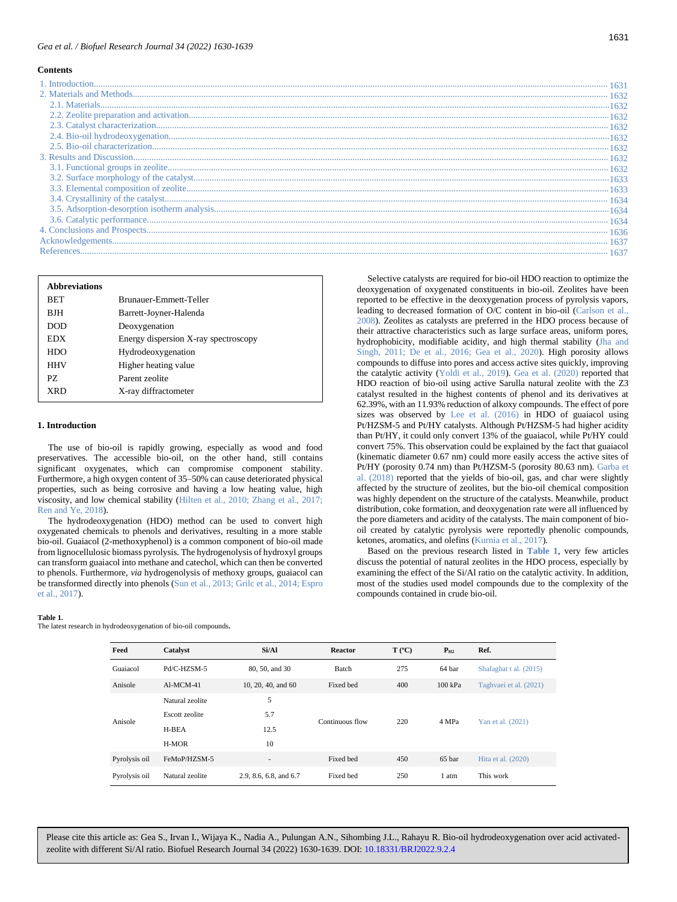#### *Gea et al. / Biofuel Research Journal 34 (2022) 1630-1639*

#### **Contents**

| <b>Abbreviations</b> |                                      |
|----------------------|--------------------------------------|
| <b>BET</b>           | Brunauer-Emmett-Teller               |
| <b>BJH</b>           | Barrett-Joyner-Halenda               |
| DOD.                 | Deoxygenation                        |
| EDX                  | Energy dispersion X-ray spectroscopy |
| HDO                  | Hydrodeoxygenation                   |
| <b>HHV</b>           | Higher heating value                 |
| PZ.                  | Parent zeolite                       |
| XRD                  | X-ray diffractometer                 |

#### <span id="page-1-1"></span>**1. Introduction**

The use of bio-oil is rapidly growing, especially as wood and food preservatives. The accessible bio-oil, on the other hand, still contains significant oxygenates, which can compromise component stability. Furthermore, a high oxygen content of 35–50% can cause deteriorated physical properties, such as being corrosive and having a low heating value, high viscosity, and low chemical stability (Hilten et al., 2010; Zhang et al., 2017; Ren and Ye, 2018).

The hydrodeoxygenation (HDO) method can be used to convert high oxygenated chemicals to phenols and derivatives, resulting in a more stable bio-oil. Guaiacol (2-methoxyphenol) is a common component of bio-oil made from lignocellulosic biomass pyrolysis. The hydrogenolysis of hydroxyl groups can transform guaiacol into methane and catechol, which can then be converted to phenols. Furthermore, *via* hydrogenolysis of methoxy groups, guaiacol can be transformed directly into phenols (Sun et al., 2013; Grilc et al., 2014; Espro et al., 2017).

#### **Table 1.**

<span id="page-1-0"></span>The latest research in hydrodeoxygenation of bio-oil compounds**.**

discuss the potential of natural zeolites in the HDO process, especially by examining the effect of the Si/Al ratio on the catalytic activity. In addition, most of the studies used model compounds due to the complexity of the compounds contained in crude bio-oil. **Feed Catalyst Si/Al Reactor T (ºC) PH2 Ref.** Guaiacol Pd/C-HZSM-5 80, 50, and 30 Batch 275 64 bar Shafaghat t al. (2015) Anisole Al-MCM-41 10, 20, 40, and 60 Fixed bed 400 100 kPa Taghvaei et al. (2021) Natural zeolite 5

ketones, aromatics, and olefins (Kurnia et al., 2017).

Based on the previous research listed in **[Table 1](#page-1-0)**, very few articles

| Anisole       | Escott zeolite<br>H-BEA<br>H-MOR | 5.7<br>12.5<br>10      | Continuous flow | 220 | 4 MPa  | Yan et al. (2021)  |
|---------------|----------------------------------|------------------------|-----------------|-----|--------|--------------------|
| Pyrolysis oil | FeMoP/HZSM-5                     | $\sim$                 | Fixed bed       | 450 | 65 bar | Hita et al. (2020) |
| Pyrolysis oil | Natural zeolite                  | 2.9, 8.6, 6.8, and 6.7 | Fixed bed       | 250 | l atm  | This work          |

Please cite this article as: Gea S., Irvan I., Wijaya K., Nadia A., Pulungan A.N., Sihombing J.L., Rahayu R. Bio-oil hydrodeoxygenation over acid activatedzeolite with different Si/Al ratio. Biofuel Research Journal 34 (2022) 1630-1639. DOI: 10.18331/BRJ2022.9.2.4

Selective catalysts are required for bio-oil HDO reaction to optimize the deoxygenation of oxygenated constituents in bio-oil. Zeolites have been reported to be effective in the deoxygenation process of pyrolysis vapors, leading to decreased formation of O/C content in bio-oil (Carlson et al., 2008). Zeolites as catalysts are preferred in the HDO process because of their attractive characteristics such as large surface areas, uniform pores, hydrophobicity, modifiable acidity, and high thermal stability (Jha and Singh, 2011; De et al., 2016; Gea et al., 2020). High porosity allows compounds to diffuse into pores and access active sites quickly, improving the catalytic activity (Yoldi et al., 2019). Gea et al. (2020) reported that HDO reaction of bio-oil using active Sarulla natural zeolite with the Z3 catalyst resulted in the highest contents of phenol and its derivatives at 62.39%, with an 11.93% reduction of alkoxy compounds. The effect of pore sizes was observed by Lee et al. (2016) in HDO of guaiacol using Pt/HZSM-5 and Pt/HY catalysts. Although Pt/HZSM-5 had higher acidity than Pt/HY, it could only convert 13% of the guaiacol, while Pt/HY could convert 75%. This observation could be explained by the fact that guaiacol (kinematic diameter 0.67 nm) could more easily access the active sites of Pt/HY (porosity 0.74 nm) than Pt/HZSM-5 (porosity 80.63 nm). Garba et al. (2018) reported that the yields of bio-oil, gas, and char were slightly affected by the structure of zeolites, but the bio-oil chemical composition was highly dependent on the structure of the catalysts. Meanwhile, product distribution, coke formation, and deoxygenation rate were all influenced by the pore diameters and acidity of the catalysts. The main component of biooil created by catalytic pyrolysis were reportedly phenolic compounds,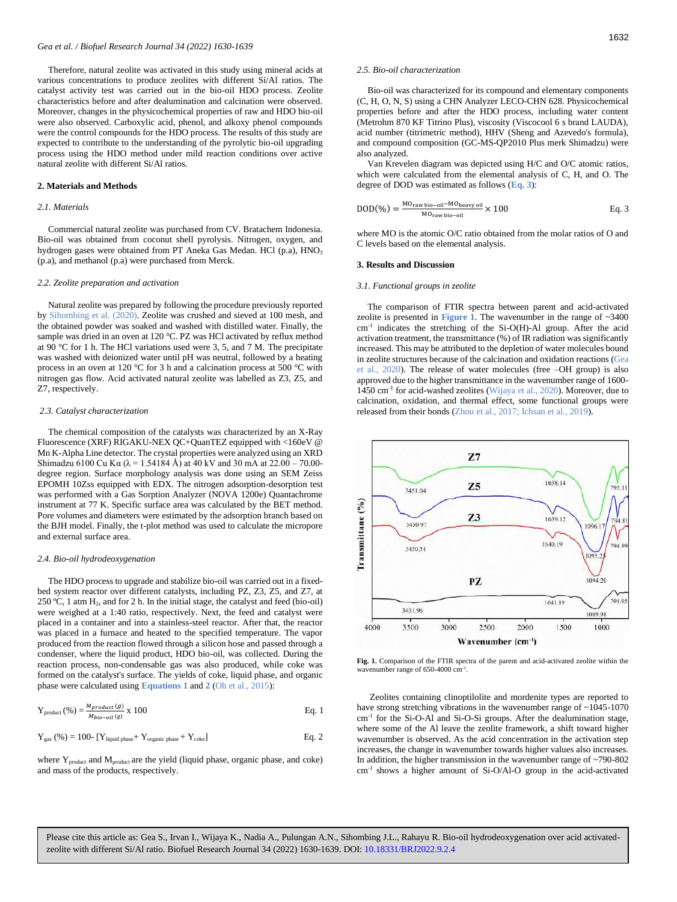Therefore, natural zeolite was activated in this study using mineral acids at various concentrations to produce zeolites with different Si/Al ratios. The catalyst activity test was carried out in the bio-oil HDO process. Zeolite characteristics before and after dealumination and calcination were observed. Moreover, changes in the physicochemical properties of raw and HDO bio-oil were also observed. Carboxylic acid, phenol, and alkoxy phenol compounds were the control compounds for the HDO process. The results of this study are expected to contribute to the understanding of the pyrolytic bio-oil upgrading process using the HDO method under mild reaction conditions over active natural zeolite with different Si/Al ratios.

#### <span id="page-2-0"></span>**2. Materials and Methods**

#### <span id="page-2-1"></span>*2.1. Materials*

Commercial natural zeolite was purchased from CV. Bratachem Indonesia. Bio-oil was obtained from coconut shell pyrolysis. Nitrogen, oxygen, and hydrogen gases were obtained from PT Aneka Gas Medan. HCl (p.a), HNO<sub>3</sub> (p.a), and methanol (p.a) were purchased from Merck.

#### <span id="page-2-2"></span>*2.2. Zeolite preparation and activation*

Natural zeolite was prepared by following the procedure previously reported by Sihombing et al. (2020). Zeolite was crushed and sieved at 100 mesh, and the obtained powder was soaked and washed with distilled water. Finally, the sample was dried in an oven at 120 °C. PZ was HCl activated by reflux method at 90 °C for 1 h. The HCl variations used were 3, 5, and 7 M. The precipitate was washed with deionized water until pH was neutral, followed by a heating process in an oven at 120 °C for 3 h and a calcination process at 500 °C with nitrogen gas flow. Acid activated natural zeolite was labelled as Z3, Z5, and Z7, respectively.

#### <span id="page-2-3"></span>*2.3. Catalyst characterization*

The chemical composition of the catalysts was characterized by an X-Ray Fluorescence (XRF) RIGAKU-NEX QC+QuanTEZ equipped with <160eV @ Mn K-Alpha Line detector. The crystal properties were analyzed using an XRD Shimadzu 6100 Cu Kα (λ = 1.54184 Å) at 40 kV and 30 mA at  $22.00 - 70.00$ degree region. Surface morphology analysis was done using an SEM Zeiss EPOMH 10Zss equipped with EDX. The nitrogen adsorption-desorption test was performed with a Gas Sorption Analyzer (NOVA 1200e) Quantachrome instrument at 77 K. Specific surface area was calculated by the BET method. Pore volumes and diameters were estimated by the adsorption branch based on the BJH model. Finally, the t-plot method was used to calculate the micropore and external surface area.

#### <span id="page-2-4"></span>*2.4. Bio-oil hydrodeoxygenation*

The HDO process to upgrade and stabilize bio-oil was carried out in a fixedbed system reactor over different catalysts, including PZ, Z3, Z5, and Z7, at 250 °C, 1 atm  $H_2$ , and for 2 h. In the initial stage, the catalyst and feed (bio-oil) were weighed at a 1:40 ratio, respectively. Next, the feed and catalyst were placed in a container and into a stainless-steel reactor. After that, the reactor was placed in a furnace and heated to the specified temperature. The vapor produced from the reaction flowed through a silicon hose and passed through a condenser, where the liquid product, HDO bio-oil, was collected. During the reaction process, non-condensable gas was also produced, while coke was formed on the catalyst's surface. The yields of coke, liquid phase, and organic phase were calculated using **[Equations 1](#page-2-8)** and **[2](#page-2-9)** (Oh et al., 2015):

<span id="page-2-8"></span>
$$
Y_{product} (\%) = \frac{M_{product}(g)}{M_{bio-oil}(g)} \times 100
$$
 Eq. 1

<span id="page-2-9"></span>
$$
Y_{gas}~(\%)=100\text{-}\ [Y_{liquid\ phase}+Y_{organic\ phase}+Y_{coke}] \hspace{2.2cm} \text{Eq. 2}
$$

where Y<sub>product</sub> and M<sub>product</sub> are the yield (liquid phase, organic phase, and coke) and mass of the products, respectively.

#### <span id="page-2-5"></span>*2.5. Bio-oil characterization*

Bio-oil was characterized for its compound and elementary components (C, H, O, N, S) using a CHN Analyzer LECO-CHN 628. Physicochemical properties before and after the HDO process, including water content (Metrohm 870 KF Titrino Plus), viscosity (Viscocool 6 s brand LAUDA), acid number (titrimetric method), HHV (Sheng and Azevedo's formula), and compound composition (GC-MS-QP2010 Plus merk Shimadzu) were also analyzed.

Van Krevelen diagram was depicted using H/C and O/C atomic ratios, which were calculated from the elemental analysis of C, H, and O. The degree of DOD was estimated as follows (**[Eq. 3](#page-2-10)**):

<span id="page-2-10"></span>
$$
DOD(\%) = \frac{^{MO_{raw\,bio-oil} - MO_{heavy\,oil}}}{^{MO_{raw\,bio-oil}} \times 100} \times 100
$$
 Eq. 3

where MO is the atomic O/C ratio obtained from the molar ratios of O and C levels based on the elemental analysis.

### <span id="page-2-6"></span>**3. Results and Discussion**

#### <span id="page-2-7"></span>*3.1. Functional groups in zeolite*

The comparison of FTIR spectra between parent and acid-activated zeolite is presented in **[Figure](#page-2-11)** 1. The wavenumber in the range of  $~3400$ cm-1 indicates the stretching of the Si-O(H)-Al group. After the acid activation treatment, the transmittance (%) of IR radiation was significantly increased. This may be attributed to the depletion of water molecules bound in zeolite structures because of the calcination and oxidation reactions (Gea et al., 2020). The release of water molecules (free –OH group) is also approved due to the higher transmittance in the wavenumber range of 1600- 1450 cm-1 for acid-washed zeolites (Wijaya et al., 2020). Moreover, due to calcination, oxidation, and thermal effect, some functional groups were released from their bonds (Zhou et al., 2017; Ichsan et al., 2019).



<span id="page-2-11"></span>Fig. 1. Comparison of the FTIR spectra of the parent and acid-activated zeolite within the wavenumber range of 650-4000 cm<sup>-1</sup>.

Zeolites containing clinoptilolite and mordenite types are reported to have strong stretching vibrations in the wavenumber range of  $\sim$ 1045-1070 cm-1 for the Si-O-Al and Si-O-Si groups. After the dealumination stage, where some of the Al leave the zeolite framework, a shift toward higher wavenumber is observed. As the acid concentration in the activation step increases, the change in wavenumber towards higher values also increases. In addition, the higher transmission in the wavenumber range of ~790-802 cm-1 shows a higher amount of Si-O/Al-O group in the acid-activated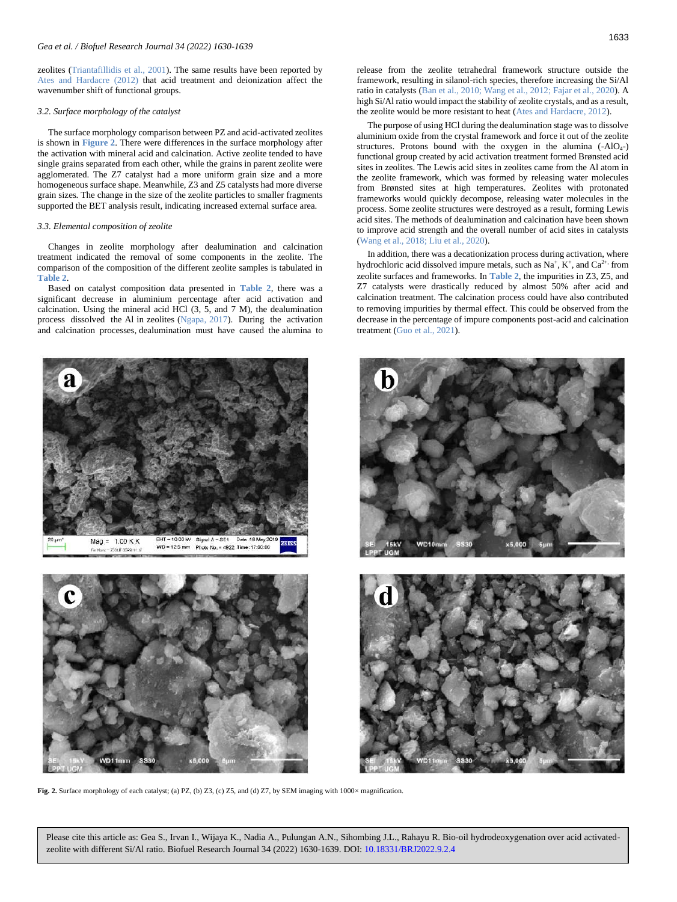zeolites (Triantafillidis et al., 2001). The same results have been reported by Ates and Hardacre (2012) that acid treatment and deionization affect the wavenumber shift of functional groups.

#### <span id="page-3-0"></span>*3.2. Surface morphology of the catalyst*

The surface morphology comparison between PZ and acid-activated zeolites is shown in **[Figure 2](#page-3-2)**. There were differences in the surface morphology after the activation with mineral acid and calcination. Active zeolite tended to have single grains separated from each other, while the grains in parent zeolite were agglomerated. The Z7 catalyst had a more uniform grain size and a more homogeneous surface shape. Meanwhile, Z3 and Z5 catalysts had more diverse grain sizes. The change in the size of the zeolite particles to smaller fragments supported the BET analysis result, indicating increased external surface area.

#### <span id="page-3-1"></span>*3.3. Elemental composition of zeolite*

Changes in zeolite morphology after dealumination and calcination treatment indicated the removal of some components in the zeolite. The comparison of the composition of the different zeolite samples is tabulated in **[Table 2](#page-4-3)**.

Based on catalyst composition data presented in **[Table 2](#page-4-3)**, there was a significant decrease in aluminium percentage after acid activation and calcination. Using the mineral acid HCl (3, 5, and 7 M), the dealumination process dissolved the Al in zeolites (Ngapa, 2017). During the activation and calcination processes, dealumination must have caused the alumina to

![](_page_3_Figure_7.jpeg)

<span id="page-3-2"></span>![](_page_3_Picture_8.jpeg)

**Fig. 2.** Surface morphology of each catalyst; (a) PZ, (b) Z3, (c) Z5, and (d) Z7, by SEM imaging with 1000× magnification.

1633

release from the zeolite tetrahedral framework structure outside the framework, resulting in silanol-rich species, therefore increasing the Si/Al ratio in catalysts (Ban et al., 2010; Wang et al., 2012; Fajar et al., 2020). A high Si/Al ratio would impact the stability of zeolite crystals, and as a result, the zeolite would be more resistant to heat (Ates and Hardacre, 2012).

The purpose of using HCl during the dealumination stage was to dissolve aluminium oxide from the crystal framework and force it out of the zeolite structures. Protons bound with the oxygen in the alumina  $(-AIO<sub>4</sub>-)$ functional group created by acid activation treatment formed Brønsted acid sites in zeolites. The Lewis acid sites in zeolites came from the Al atom in the zeolite framework, which was formed by releasing water molecules from Brønsted sites at high temperatures. Zeolites with protonated frameworks would quickly decompose, releasing water molecules in the process. Some zeolite structures were destroyed as a result, forming Lewis acid sites. The methods of dealumination and calcination have been shown to improve acid strength and the overall number of acid sites in catalysts (Wang et al., 2018; Liu et al., 2020).

In addition, there was a decationization process during activation, where hydrochloric acid dissolved impure metals, such as  $Na^+$ ,  $K^+$ , and  $Ca^{2+}$ , from zeolite surfaces and frameworks. In **[Table 2](#page-4-3)**, the impurities in Z3, Z5, and Z7 catalysts were drastically reduced by almost 50% after acid and calcination treatment. The calcination process could have also contributed to removing impurities by thermal effect. This could be observed from the decrease in the percentage of impure components post-acid and calcination treatment (Guo et al., 2021).

![](_page_3_Picture_14.jpeg)

![](_page_3_Picture_15.jpeg)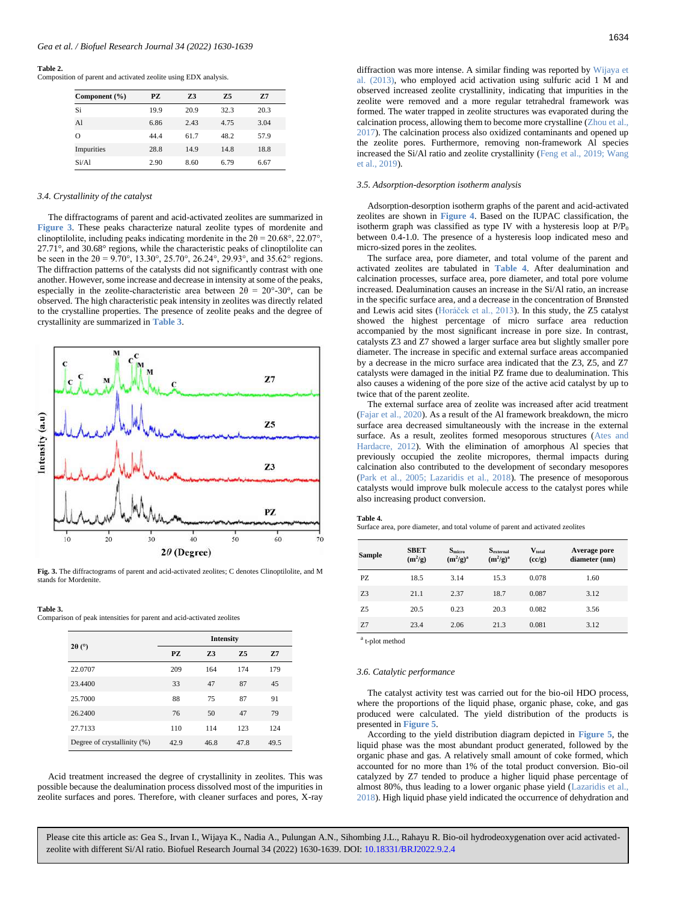#### **Table 2.**

<span id="page-4-3"></span>Composition of parent and activated zeolite using EDX analysis.

| Component $(\% )$ | PZ.  | 73   | 75   | 7.7  |
|-------------------|------|------|------|------|
| Si                | 19.9 | 20.9 | 32.3 | 20.3 |
| Al                | 6.86 | 2.43 | 4.75 | 3.04 |
| $\Omega$          | 44.4 | 61.7 | 48.2 | 57.9 |
| Impurities        | 28.8 | 14.9 | 14.8 | 18.8 |
| Si/A1             | 2.90 | 8.60 | 6.79 | 6.67 |

# <span id="page-4-0"></span>*3.4. Crystallinity of the catalyst*

The diffractograms of parent and acid-activated zeolites are summarized in **[Figure 3](#page-4-4)**. These peaks characterize natural zeolite types of mordenite and clinoptilolite, including peaks indicating mordenite in the  $2\theta = 20.68^{\circ}, 22.07^{\circ}$ , 27.71°, and 30.68° regions, while the characteristic peaks of clinoptilolite can be seen in the  $2\theta = 9.70^{\circ}$ , 13.30°, 25.70°, 26.24°, 29.93°, and 35.62° regions. The diffraction patterns of the catalysts did not significantly contrast with one another. However, some increase and decrease in intensity at some of the peaks, especially in the zeolite-characteristic area between  $2\theta = 20^{\circ} - 30^{\circ}$ , can be observed. The high characteristic peak intensity in zeolites was directly related to the crystalline properties. The presence of zeolite peaks and the degree of crystallinity are summarized in **[Table 3](#page-4-5)**.

![](_page_4_Figure_6.jpeg)

<span id="page-4-4"></span>**Fig. 3.** The diffractograms of parent and acid-activated zeolites; C denotes Clinoptilolite, and M stands for Mordenite

#### **Table 3.**

<span id="page-4-5"></span>Comparison of peak intensities for parent and acid-activated zeolites

|                             | <b>Intensity</b> |                |      |                |  |  |
|-----------------------------|------------------|----------------|------|----------------|--|--|
| $2\theta$ (°)               | PZ               | Z <sub>3</sub> | 7.5  | Z <sub>7</sub> |  |  |
| 22.0707                     | 209              | 164            | 174  | 179            |  |  |
| 23.4400                     | 33               | 47             | 87   | 45             |  |  |
| 25.7000                     | 88               | 75             | 87   | 91             |  |  |
| 26.2400                     | 76               | 50             | 47   | 79             |  |  |
| 27.7133                     | 110              | 114            | 123  | 124            |  |  |
| Degree of crystallinity (%) | 42.9             | 46.8           | 47.8 | 49.5           |  |  |

Acid treatment increased the degree of crystallinity in zeolites. This was possible because the dealumination process dissolved most of the impurities in zeolite surfaces and pores. Therefore, with cleaner surfaces and pores, X-ray diffraction was more intense. A similar finding was reported by Wijaya et al. (2013), who employed acid activation using sulfuric acid 1 M and observed increased zeolite crystallinity, indicating that impurities in the zeolite were removed and a more regular tetrahedral framework was formed. The water trapped in zeolite structures was evaporated during the calcination process, allowing them to become more crystalline (Zhou et al., 2017). The calcination process also oxidized contaminants and opened up the zeolite pores. Furthermore, removing non-framework Al species increased the Si/Al ratio and zeolite crystallinity (Feng et al., 2019; Wang et al., 2019).

# <span id="page-4-1"></span>*3.5. Adsorption-desorption isotherm analysis*

Adsorption-desorption isotherm graphs of the parent and acid-activated zeolites are shown in **[Figure 4](#page-5-0)**. Based on the IUPAC classification, the isotherm graph was classified as type IV with a hysteresis loop at  $P/P<sub>0</sub>$ between 0.4-1.0. The presence of a hysteresis loop indicated meso and micro-sized pores in the zeolites.

The surface area, pore diameter, and total volume of the parent and activated zeolites are tabulated in **[Table 4](#page-4-6)**. After dealumination and calcination processes, surface area, pore diameter, and total pore volume increased. Dealumination causes an increase in the Si/Al ratio, an increase in the specific surface area, and a decrease in the concentration of Brønsted and Lewis acid sites (Horáček et al., 2013). In this study, the Z5 catalyst showed the highest percentage of micro surface area reduction accompanied by the most significant increase in pore size. In contrast, catalysts Z3 and Z7 showed a larger surface area but slightly smaller pore diameter. The increase in specific and external surface areas accompanied by a decrease in the micro surface area indicated that the Z3, Z5, and Z7 catalysts were damaged in the initial PZ frame due to dealumination. This also causes a widening of the pore size of the active acid catalyst by up to twice that of the parent zeolite.

The external surface area of zeolite was increased after acid treatment (Fajar et al., 2020). As a result of the Al framework breakdown, the micro surface area decreased simultaneously with the increase in the external surface. As a result, zeolites formed mesoporous structures (Ates and Hardacre, 2012). With the elimination of amorphous Al species that previously occupied the zeolite micropores, thermal impacts during calcination also contributed to the development of secondary mesopores (Park et al., 2005; Lazaridis et al., 2018). The presence of mesoporous catalysts would improve bulk molecule access to the catalyst pores while also increasing product conversion.

#### **Table 4.**

<span id="page-4-6"></span>Surface area, pore diameter, and total volume of parent and activated zeolites

| <b>Sample</b>  | <b>SBET</b><br>$(m^2/g)$ | S <sub>micro</sub><br>$(m^2/g)^a$ | $S_{external}$<br>$(m^2/g)^a$ | $\mathbf{V}_{\text{total}}$<br>(cc/g) | Average pore<br>diameter (nm) |
|----------------|--------------------------|-----------------------------------|-------------------------------|---------------------------------------|-------------------------------|
| PZ             | 18.5                     | 3.14                              | 15.3                          | 0.078                                 | 1.60                          |
| Z <sub>3</sub> | 21.1                     | 2.37                              | 18.7                          | 0.087                                 | 3.12                          |
| Z <sub>5</sub> | 20.5                     | 0.23                              | 20.3                          | 0.082                                 | 3.56                          |
| Z <sub>7</sub> | 23.4                     | 2.06                              | 21.3                          | 0.081                                 | 3.12                          |

a t-plot method

#### <span id="page-4-2"></span>*3.6. Catalytic performance*

The catalyst activity test was carried out for the bio-oil HDO process, where the proportions of the liquid phase, organic phase, coke, and gas produced were calculated. The yield distribution of the products is presented in **[Figure](#page-5-1) 5**.

According to the yield distribution diagram depicted in **[Figure 5](#page-5-1)**, the liquid phase was the most abundant product generated, followed by the organic phase and gas. A relatively small amount of coke formed, which accounted for no more than 1% of the total product conversion. Bio-oil catalyzed by Z7 tended to produce a higher liquid phase percentage of almost 80%, thus leading to a lower organic phase yield (Lazaridis et al., 2018). High liquid phase yield indicated the occurrence of dehydration and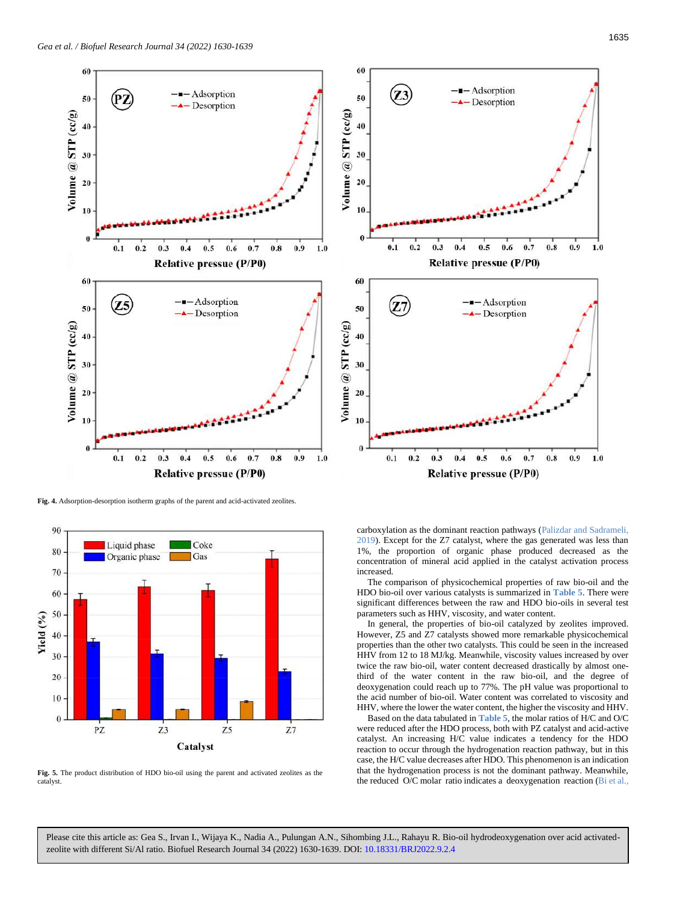![](_page_5_Figure_1.jpeg)

<span id="page-5-0"></span>**Fig. 4.** Adsorption-desorption isotherm graphs of the parent and acid-activated zeolites.

<span id="page-5-1"></span>![](_page_5_Figure_3.jpeg)

**Fig. 5.** The product distribution of HDO bio-oil using the parent and activated zeolites as the catalyst.

![](_page_5_Figure_5.jpeg)

carboxylation as the dominant reaction pathways (Palizdar and Sadrameli, 2019). Except for the Z7 catalyst, where the gas generated was less than 1%, the proportion of organic phase produced decreased as the concentration of mineral acid applied in the catalyst activation process increased.

The comparison of physicochemical properties of raw bio-oil and the HDO bio-oil over various catalysts is summarized in **[Table 5](#page-6-1)**. There were significant differences between the raw and HDO bio-oils in several test parameters such as HHV, viscosity, and water content.

In general, the properties of bio-oil catalyzed by zeolites improved. However, Z5 and Z7 catalysts showed more remarkable physicochemical properties than the other two catalysts. This could be seen in the increased HHV from 12 to 18 MJ/kg. Meanwhile, viscosity values increased by over twice the raw bio-oil, water content decreased drastically by almost onethird of the water content in the raw bio-oil, and the degree of deoxygenation could reach up to 77%. The pH value was proportional to the acid number of bio-oil. Water content was correlated to viscosity and HHV, where the lower the water content, the higher the viscosity and HHV.

Based on the data tabulated in **[Table 5](#page-6-1)**, the molar ratios of H/C and O/C were reduced after the HDO process, both with PZ catalyst and acid-active catalyst. An increasing H/C value indicates a tendency for the HDO reaction to occur through the hydrogenation reaction pathway, but in this case, the H/C value decreases after HDO. This phenomenon is an indication that the hydrogenation process is not the dominant pathway. Meanwhile, the reduced O/C molar ratio indicates a deoxygenation reaction (Bi et al.,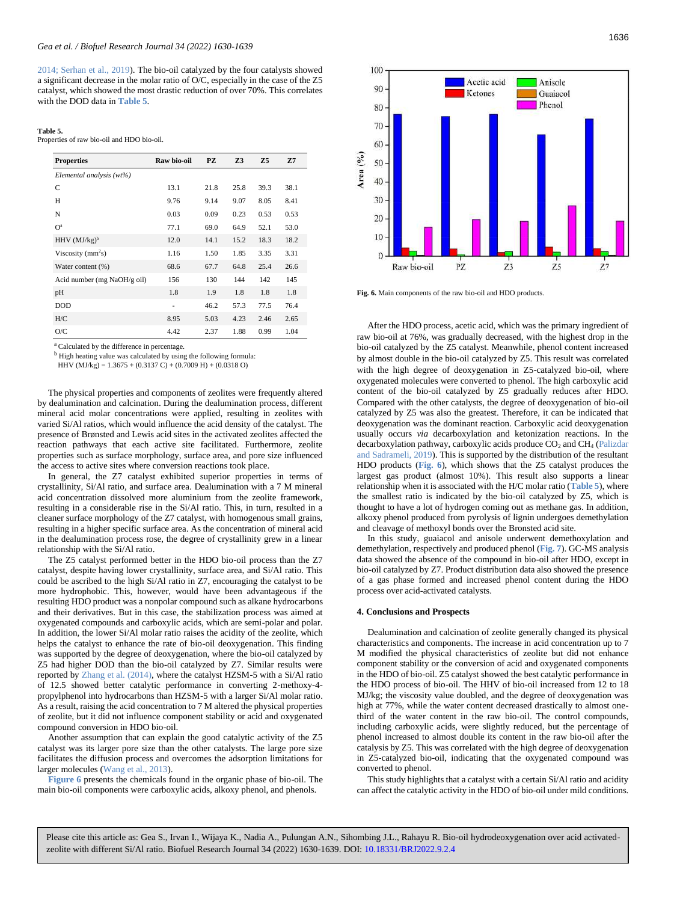2014; Serhan et al., 2019). The bio-oil catalyzed by the four catalysts showed a significant decrease in the molar ratio of O/C, especially in the case of the Z5 catalyst, which showed the most drastic reduction of over 70%. This correlates with the DOD data in **[Table 5](#page-6-1)**.

#### **Table 5.**

<span id="page-6-1"></span>Properties of raw bio-oil and HDO bio-oil.

| <b>Properties</b>           | Raw bio-oil | PZ   | Z <sub>3</sub> | Z <sub>5</sub> | Z <sub>7</sub> |
|-----------------------------|-------------|------|----------------|----------------|----------------|
| Elemental analysis (wt%)    |             |      |                |                |                |
| C                           | 13.1        | 21.8 | 25.8           | 39.3           | 38.1           |
| H                           | 9.76        | 9.14 | 9.07           | 8.05           | 8.41           |
| N                           | 0.03        | 0.09 | 0.23           | 0.53           | 0.53           |
| O <sup>a</sup>              | 77.1        | 69.0 | 64.9           | 52.1           | 53.0           |
| HHV $(MJ/kg)^b$             | 12.0        | 14.1 | 15.2           | 18.3           | 18.2           |
| Viscosity $(mm2s)$          | 1.16        | 1.50 | 1.85           | 3.35           | 3.31           |
| Water content (%)           | 68.6        | 67.7 | 64.8           | 25.4           | 26.6           |
| Acid number (mg NaOH/g oil) | 156         | 130  | 144            | 142            | 145            |
| pH                          | 1.8         | 1.9  | 1.8            | 1.8            | 1.8            |
| <b>DOD</b>                  | ٠           | 46.2 | 57.3           | 77.5           | 76.4           |
| H/C                         | 8.95        | 5.03 | 4.23           | 2.46           | 2.65           |
| O/C                         | 4.42        | 2.37 | 1.88           | 0.99           | 1.04           |

<sup>a</sup> Calculated by the difference in percentage.

 $<sup>b</sup>$  High heating value was calculated by using the following formula:</sup>

HHV (MJ/kg) =  $1.3675 + (0.3137 \text{ C}) + (0.7009 \text{ H}) + (0.0318 \text{ O})$ 

The physical properties and components of zeolites were frequently altered by dealumination and calcination. During the dealumination process, different mineral acid molar concentrations were applied, resulting in zeolites with varied Si/Al ratios, which would influence the acid density of the catalyst. The presence of Brønsted and Lewis acid sites in the activated zeolites affected the reaction pathways that each active site facilitated. Furthermore, zeolite properties such as surface morphology, surface area, and pore size influenced the access to active sites where conversion reactions took place.

In general, the Z7 catalyst exhibited superior properties in terms of crystallinity, Si/Al ratio, and surface area. Dealumination with a 7 M mineral acid concentration dissolved more aluminium from the zeolite framework, resulting in a considerable rise in the Si/Al ratio. This, in turn, resulted in a cleaner surface morphology of the Z7 catalyst, with homogenous small grains, resulting in a higher specific surface area. As the concentration of mineral acid in the dealumination process rose, the degree of crystallinity grew in a linear relationship with the Si/Al ratio.

The Z5 catalyst performed better in the HDO bio-oil process than the Z7 catalyst, despite having lower crystallinity, surface area, and Si/Al ratio. This could be ascribed to the high Si/Al ratio in Z7, encouraging the catalyst to be more hydrophobic. This, however, would have been advantageous if the resulting HDO product was a nonpolar compound such as alkane hydrocarbons and their derivatives. But in this case, the stabilization process was aimed at oxygenated compounds and carboxylic acids, which are semi-polar and polar. In addition, the lower Si/Al molar ratio raises the acidity of the zeolite, which helps the catalyst to enhance the rate of bio-oil deoxygenation. This finding was supported by the degree of deoxygenation, where the bio-oil catalyzed by Z5 had higher DOD than the bio-oil catalyzed by Z7. Similar results were reported by Zhang et al. (2014), where the catalyst HZSM-5 with a Si/Al ratio of 12.5 showed better catalytic performance in converting 2-methoxy-4 propylphenol into hydrocarbons than HZSM-5 with a larger Si/Al molar ratio. As a result, raising the acid concentration to 7 M altered the physical properties of zeolite, but it did not influence component stability or acid and oxygenated compound conversion in HDO bio-oil.

Another assumption that can explain the good catalytic activity of the Z5 catalyst was its larger pore size than the other catalysts. The large pore size facilitates the diffusion process and overcomes the adsorption limitations for larger molecules (Wang et al., 2013).

**[Figure](#page-6-2) 6** presents the chemicals found in the organic phase of bio-oil. The main bio-oil components were carboxylic acids, alkoxy phenol, and phenols.

<span id="page-6-2"></span>![](_page_6_Figure_14.jpeg)

**Fig. 6.** Main components of the raw bio-oil and HDO products.

After the HDO process, acetic acid, which was the primary ingredient of raw bio-oil at 76%, was gradually decreased, with the highest drop in the bio-oil catalyzed by the Z5 catalyst. Meanwhile, phenol content increased by almost double in the bio-oil catalyzed by Z5. This result was correlated with the high degree of deoxygenation in Z5-catalyzed bio-oil, where oxygenated molecules were converted to phenol. The high carboxylic acid content of the bio-oil catalyzed by Z5 gradually reduces after HDO. Compared with the other catalysts, the degree of deoxygenation of bio-oil catalyzed by Z5 was also the greatest. Therefore, it can be indicated that deoxygenation was the dominant reaction. Carboxylic acid deoxygenation usually occurs *via* decarboxylation and ketonization reactions. In the decarboxylation pathway, carboxylic acids produce  $CO<sub>2</sub>$  and  $CH<sub>4</sub>$  (Palizdar and Sadrameli, 2019). This is supported by the distribution of the resultant HDO products (**[Fig.](#page-6-2) 6**), which shows that the Z5 catalyst produces the largest gas product (almost 10%). This result also supports a linear relationship when it is associated with the H/C molar ratio (**[Table 5](#page-6-1)**), where the smallest ratio is indicated by the bio-oil catalyzed by Z5, which is thought to have a lot of hydrogen coming out as methane gas. In addition, alkoxy phenol produced from pyrolysis of lignin undergoes demethylation and cleavage of methoxyl bonds over the Bronsted acid site.

In this study, guaiacol and anisole underwent demethoxylation and demethylation, respectively and produced phenol (**[Fig.](#page-7-2) 7**). GC-MS analysis data showed the absence of the compound in bio-oil after HDO, except in bio-oil catalyzed by Z7. Product distribution data also showed the presence of a gas phase formed and increased phenol content during the HDO process over acid-activated catalysts.

#### <span id="page-6-0"></span>**4. Conclusions and Prospects**

Dealumination and calcination of zeolite generally changed its physical characteristics and components. The increase in acid concentration up to 7 M modified the physical characteristics of zeolite but did not enhance component stability or the conversion of acid and oxygenated components in the HDO of bio-oil. Z5 catalyst showed the best catalytic performance in the HDO process of bio-oil. The HHV of bio-oil increased from 12 to 18 MJ/kg; the viscosity value doubled, and the degree of deoxygenation was high at 77%, while the water content decreased drastically to almost onethird of the water content in the raw bio-oil. The control compounds, including carboxylic acids, were slightly reduced, but the percentage of phenol increased to almost double its content in the raw bio-oil after the catalysis by Z5. This was correlated with the high degree of deoxygenation in Z5-catalyzed bio-oil, indicating that the oxygenated compound was converted to phenol.

This study highlights that a catalyst with a certain Si/Al ratio and acidity can affect the catalytic activity in the HDO of bio-oil under mild conditions.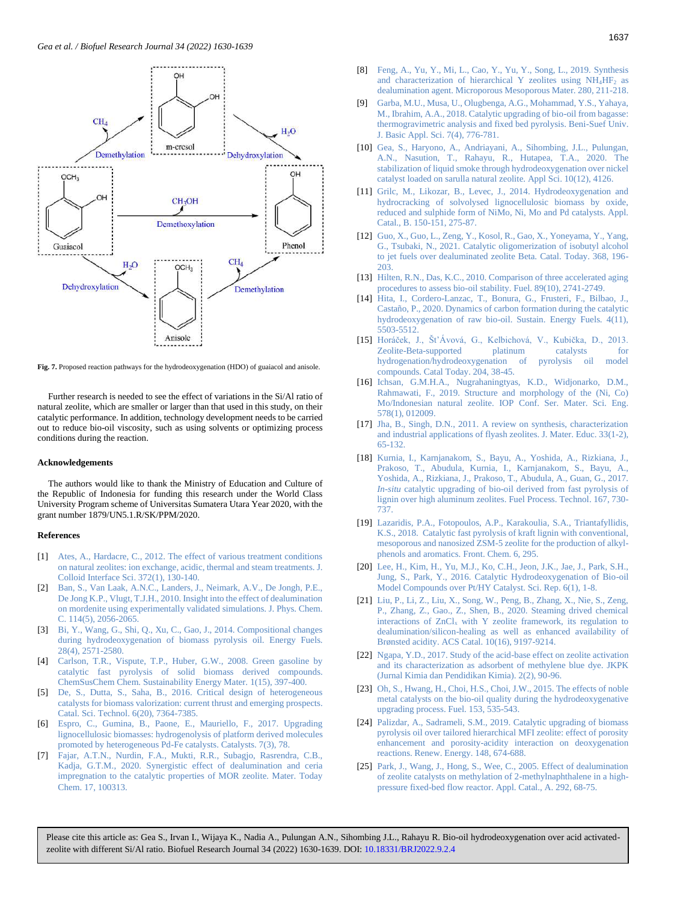![](_page_7_Figure_1.jpeg)

<span id="page-7-2"></span>Fig. 7. Proposed reaction pathways for the hydrodeoxygenation (HDO) of guaiacol and anisole.

Further research is needed to see the effect of variations in the Si/Al ratio of natural zeolite, which are smaller or larger than that used in this study, on their catalytic performance. In addition, technology development needs to be carried out to reduce bio-oil viscosity, such as using solvents or optimizing process conditions during the reaction.

#### <span id="page-7-0"></span>**Acknowledgements**

The authors would like to thank the Ministry of Education and Culture of the Republic of Indonesia for funding this research under the World Class University Program scheme of Universitas Sumatera Utara Year 2020, with the grant number 1879/UN5.1.R/SK/PPM/2020.

### <span id="page-7-1"></span>**References**

- [1] [Ates, A., Hardacre, C., 2012. The effect of various treatment conditions](https://www.sciencedirect.com/science/article/abs/pii/S0021979712000252)  [on natural zeolites: ion exchange, acidic, thermal and steam treatments. J.](https://www.sciencedirect.com/science/article/abs/pii/S0021979712000252)  [Colloid Interface Sci. 372\(1\), 130-140.](https://www.sciencedirect.com/science/article/abs/pii/S0021979712000252)
- [2] [Ban, S., Van Laak, A.N.C., Landers, J., Neimark, A.V., De Jongh, P.E.,](https://pubs.acs.org/doi/abs/10.1021/jp909900a)  [De Jong K.P., Vlugt, T.J.H., 2010. Insight into the effect of dealumination](https://pubs.acs.org/doi/abs/10.1021/jp909900a)  [on mordenite using experimentally validated simulations. J. Phys. Chem.](https://pubs.acs.org/doi/abs/10.1021/jp909900a)  [C. 114\(5\), 2056-2065.](https://pubs.acs.org/doi/abs/10.1021/jp909900a)
- [3] [Bi, Y., Wang, G., Shi, Q., Xu, C., Gao, J., 2014. Compositional changes](https://pubs.acs.org/doi/abs/10.1021/ef4024405)  [during hydrodeoxygenation of biomass pyrolysis](https://pubs.acs.org/doi/abs/10.1021/ef4024405) oil. Energy Fuels. [28\(4\), 2571-2580.](https://pubs.acs.org/doi/abs/10.1021/ef4024405)
- [4] [Carlson, T.R., Vispute, T.P., Huber, G.W., 2008. Green gasoline by](https://chemistry-europe.onlinelibrary.wiley.com/doi/abs/10.1002/cssc.200800018)  [catalytic fast pyrolysis of solid biomass derived compounds.](https://chemistry-europe.onlinelibrary.wiley.com/doi/abs/10.1002/cssc.200800018)  [ChemSusChem Chem. Sustainability Energy Mater.](https://chemistry-europe.onlinelibrary.wiley.com/doi/abs/10.1002/cssc.200800018) 1(15), 397-400.
- [5] [De, S., Dutta, S., Saha, B., 2016. Critical design of heterogeneous](https://pubs.rsc.org/en/content/articlehtml/2016/cy/c6cy01370h)  [catalysts for biomass valorization: current thrust and emerging prospects.](https://pubs.rsc.org/en/content/articlehtml/2016/cy/c6cy01370h)  [Catal. Sci. Technol. 6\(20\), 7364-7385.](https://pubs.rsc.org/en/content/articlehtml/2016/cy/c6cy01370h)
- [6] [Espro, C., Gumina, B., Paone, E., Mauriello, F., 2017. Upgrading](https://www.mdpi.com/2073-4344/7/3/78)  [lignocellulosic biomasses: hydrogenolysis of platform derived molecules](https://www.mdpi.com/2073-4344/7/3/78)  [promoted by heterogeneous Pd-Fe catalysts. Catalysts. 7\(3\), 78.](https://www.mdpi.com/2073-4344/7/3/78)
- [7] [Fajar, A.T.N., Nurdin, F.A., Mukti, R.R., Subagjo, Rasrendra, C.B.,](https://www.sciencedirect.com/science/article/abs/pii/S2468519420300732)  [Kadja, G.T.M., 2020. Synergistic effect of dealumination and ceria](https://www.sciencedirect.com/science/article/abs/pii/S2468519420300732)  [impregnation to the catalytic properties of MOR zeolite. Mater. Today](https://www.sciencedirect.com/science/article/abs/pii/S2468519420300732)  [Chem. 17, 100313.](https://www.sciencedirect.com/science/article/abs/pii/S2468519420300732)
- [8] [Feng, A., Yu, Y., Mi, L., Cao, Y., Yu, Y., Song, L., 2019. Synthesis](https://www.sciencedirect.com/science/article/abs/pii/S1387181119300484)  [and characterization of hierarchical Y zeolites using NH](https://www.sciencedirect.com/science/article/abs/pii/S1387181119300484)<sub>4</sub>HF<sub>2</sub> as [dealumination agent. Microporous Mesoporous Mater. 280, 211-218.](https://www.sciencedirect.com/science/article/abs/pii/S1387181119300484)
- [9] [Garba, M.U., Musa, U., Olugbenga, A.G., Mohammad, Y.S., Yahaya,](https://www.sciencedirect.com/science/article/pii/S2314853518303305)  [M., Ibrahim, A.A., 2018. Catalytic upgrading of bio-oil from bagasse:](https://www.sciencedirect.com/science/article/pii/S2314853518303305)  [thermogravimetric analysis and fixed bed pyrolysis. Beni-Suef Univ.](https://www.sciencedirect.com/science/article/pii/S2314853518303305)  [J. Basic Appl. Sci. 7\(4\), 776-781.](https://www.sciencedirect.com/science/article/pii/S2314853518303305)
- [10] [Gea, S., Haryono, A., Andriayani, A., Sihombing, J.L., Pulungan,](https://www.mdpi.com/2076-3417/10/12/4126)  [A.N., Nasution, T., Rahayu, R., Hutapea, T.A., 2020. The](https://www.mdpi.com/2076-3417/10/12/4126)  [stabilization of liquid smoke through hydrodeoxygenation over nickel](https://www.mdpi.com/2076-3417/10/12/4126)  [catalyst loaded on sarulla natural zeolite. Appl Sci. 10\(12\), 4126.](https://www.mdpi.com/2076-3417/10/12/4126)
- [11] [Grilc, M., Likozar, B., Levec, J., 2014. Hydrodeoxygenation and](https://www.sciencedirect.com/science/article/abs/pii/S0926337313007753)  [hydrocracking of solvolysed lignocellulosic biomass by oxide,](https://www.sciencedirect.com/science/article/abs/pii/S0926337313007753)  [reduced and sulphide form of NiMo, Ni, Mo and Pd catalysts. Appl.](https://www.sciencedirect.com/science/article/abs/pii/S0926337313007753)  [Catal., B. 150-151, 275-87.](https://www.sciencedirect.com/science/article/abs/pii/S0926337313007753)
- [12] [Guo, X., Guo, L., Zeng, Y., Kosol, R., Gao, X., Yoneyama, Y., Yang,](https://www.sciencedirect.com/science/article/abs/pii/S0920586120302418)  G., Tsubaki, N., 2021. [Catalytic oligomerization of isobutyl alcohol](https://www.sciencedirect.com/science/article/abs/pii/S0920586120302418)  [to jet fuels over dealuminated zeolite Beta. Catal. Today. 368, 196-](https://www.sciencedirect.com/science/article/abs/pii/S0920586120302418) [203.](https://www.sciencedirect.com/science/article/abs/pii/S0920586120302418)
- [13] Hilten, R.N., Das, K.C., 2010. Comparison of three accelerated aging [procedures to assess bio-oil stability. Fuel. 89\(10\), 2741-2749.](https://www.sciencedirect.com/science/article/abs/pii/S0016236110001365)
- [14] [Hita, I., Cordero-Lanzac, T., Bonura, G., Frusteri, F., Bilbao, J.,](https://pubs.rsc.org/en/content/articlehtml/2020/se/d0se00501k)  Castaño, P., 2020. [Dynamics of carbon formation during the catalytic](https://pubs.rsc.org/en/content/articlehtml/2020/se/d0se00501k)  [hydrodeoxygenation of raw bio-oil. Sustain.](https://pubs.rsc.org/en/content/articlehtml/2020/se/d0se00501k) Energy Fuels. 4(11), [5503-5512.](https://pubs.rsc.org/en/content/articlehtml/2020/se/d0se00501k)
- [15] [Horáček, J., Št'Ávová, G., Kelbichová, V., Kubička, D., 2013.](https://www.sciencedirect.com/science/article/abs/pii/S0920586112005755)  [Zeolite-Beta-supported platinum catalysts for](https://www.sciencedirect.com/science/article/abs/pii/S0920586112005755)  [hydrogenation/hydrodeoxygenation of pyrolysis oil model](https://www.sciencedirect.com/science/article/abs/pii/S0920586112005755)  [compounds. Catal Today. 204, 38-45.](https://www.sciencedirect.com/science/article/abs/pii/S0920586112005755)
- [16] [Ichsan, G.M.H.A., Nugrahaningtyas, K.D., Widjonarko, D.M.,](https://iopscience.iop.org/article/10.1088/1757-899X/578/1/012009/meta)  [Rahmawati, F., 2019. Structure and morphology of the \(Ni, Co\)](https://iopscience.iop.org/article/10.1088/1757-899X/578/1/012009/meta)  Mo/Indonesian natural zeolite. [IOP Conf. Ser. Mater. Sci. Eng.](https://iopscience.iop.org/article/10.1088/1757-899X/578/1/012009/meta)  [578\(1\), 012009.](https://iopscience.iop.org/article/10.1088/1757-899X/578/1/012009/meta)
- [17] [Jha, B., Singh, D.N., 2011. A review on synthesis, characterization](https://onlinelibrary.wiley.com/doi/10.1002/chin.201225227)  [and industrial applications of flyash zeolites. J. Mater. Educ. 33\(1-2\),](https://onlinelibrary.wiley.com/doi/10.1002/chin.201225227)  [65-132.](https://onlinelibrary.wiley.com/doi/10.1002/chin.201225227)
- [18] [Kurnia, I., Karnjanakom, S., Bayu, A., Yoshida, A., Rizkiana, J.,](https://www.sciencedirect.com/science/article/pii/S0378382017310779)  [Prakoso, T., Abudula, Kurnia, I., Karnjanakom, S., Bayu, A.,](https://www.sciencedirect.com/science/article/pii/S0378382017310779)  [Yoshida, A., Rizkiana, J., Prakoso, T., Abudula, A., Guan, G., 2017.](https://www.sciencedirect.com/science/article/pii/S0378382017310779)  *In-situ* [catalytic upgrading of bio-oil derived from fast pyrolysis of](https://www.sciencedirect.com/science/article/pii/S0378382017310779)  [lignin over high aluminum zeolites. Fuel Process. Technol. 167, 730-](https://www.sciencedirect.com/science/article/pii/S0378382017310779) [737.](https://www.sciencedirect.com/science/article/pii/S0378382017310779)
- [19] [Lazaridis, P.A., Fotopoulos, A.P., Karakoulia, S.A., Triantafyllidis,](https://www.frontiersin.org/articles/10.3389/fchem.2018.00295/full)  [K.S., 2018. Catalytic fast pyrolysis of kraft lignin with conventional,](https://www.frontiersin.org/articles/10.3389/fchem.2018.00295/full)  [mesoporous and nanosized ZSM-5 zeolite for the production of alkyl](https://www.frontiersin.org/articles/10.3389/fchem.2018.00295/full)[phenols and aromatics. Front. Chem. 6, 295.](https://www.frontiersin.org/articles/10.3389/fchem.2018.00295/full)
- [20] [Lee, H., Kim, H., Yu, M.J., Ko, C.H., Jeon, J.K., Jae, J., Park, S.H.,](https://www.nature.com/articles/srep28765)  [Jung, S., Park, Y., 2016. Catalytic Hydrodeoxygenation of Bio-oil](https://www.nature.com/articles/srep28765)  [Model Compounds over Pt/HY Catalyst. Sci. Rep. 6\(1\), 1-8.](https://www.nature.com/articles/srep28765)
- [21] [Liu, P., Li, Z., Liu, X., Song, W., Peng, B., Zhang, X., Nie, S., Zeng,](https://pubs.acs.org/doi/abs/10.1021/acscatal.0c01181)  [P., Zhang, Z., Gao., Z., Shen, B., 2020. Steaming drived chemical](https://pubs.acs.org/doi/abs/10.1021/acscatal.0c01181)  interactions of  $ZnCl<sub>x</sub>$  with Y zeolite framework, its regulation to [dealumination/silicon-healing as well as enhanced availability of](https://pubs.acs.org/doi/abs/10.1021/acscatal.0c01181)  [Brønsted acidity. ACS Catal. 10\(16\), 9197-9214.](https://pubs.acs.org/doi/abs/10.1021/acscatal.0c01181)
- [22] [Ngapa, Y.D., 2017. Study of the acid-base effect on zeolite activation](https://jurnal.uns.ac.id/jkpk/article/view/11904)  [and its characterization as adsorbent of methylene blue dye. JKPK](https://jurnal.uns.ac.id/jkpk/article/view/11904)  [\(Jurnal Kimia dan Pendidikan Kimia\). 2\(2\), 90-96.](https://jurnal.uns.ac.id/jkpk/article/view/11904)
- [23] Oh, S., Hwang, H., Choi, H.S., Choi, J.W., 2015. The effects of noble [metal catalysts on the bio-oil quality during the hydrodeoxygenative](https://www.sciencedirect.com/science/article/abs/pii/S0016236115003269)  [upgrading process. Fuel. 153, 535-543.](https://www.sciencedirect.com/science/article/abs/pii/S0016236115003269)
- [24] Palizdar, A., Sadrameli, S.M., 2019. Catalytic upgrading of biomass [pyrolysis oil over tailored hierarchical MFI zeolite: effect of porosity](https://www.sciencedirect.com/science/article/abs/pii/S0960148119316520)  [enhancement and porosity-acidity interaction on deoxygenation](https://www.sciencedirect.com/science/article/abs/pii/S0960148119316520)  reactions. Renew. [Energy. 148, 674-688.](https://www.sciencedirect.com/science/article/abs/pii/S0960148119316520)
- [25] [Park, J., Wang, J., Hong, S., Wee, C., 2005. Effect of dealumination](https://www.sciencedirect.com/science/article/abs/pii/S0926860X05003698)  [of zeolite catalysts on methylation of 2-methylnaphthalene in a high](https://www.sciencedirect.com/science/article/abs/pii/S0926860X05003698)[pressure fixed-bed flow reactor. Appl. Catal., A.](https://www.sciencedirect.com/science/article/abs/pii/S0926860X05003698) 292, 68-75.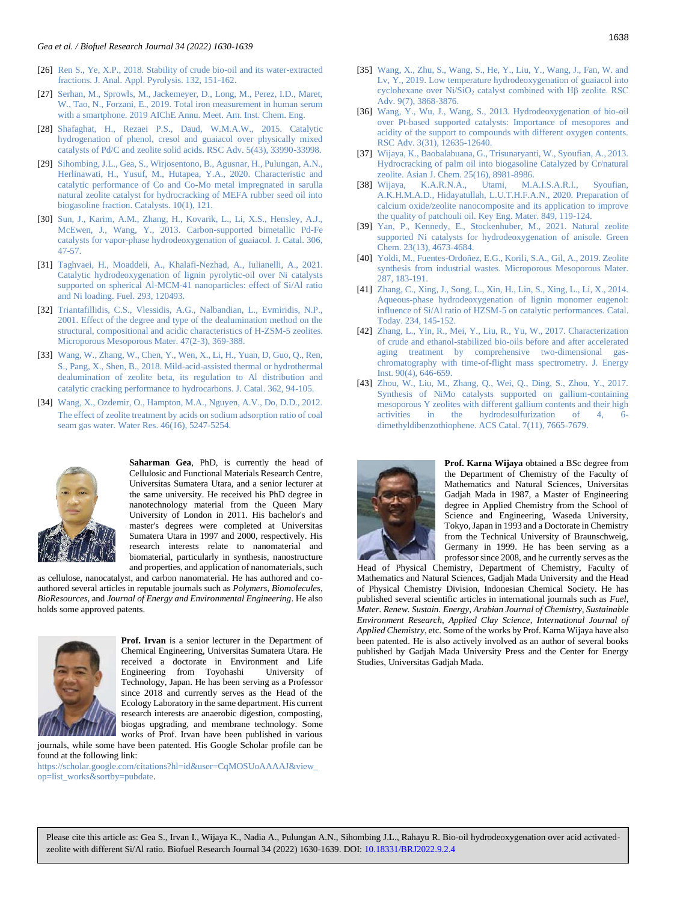- [26] Ren S., Ye, X.P., 2018. Stability of crude bio-oil and its water-extracted [fractions. J. Anal. Appl. Pyrolysis. 132, 151-162.](https://www.sciencedirect.com/science/article/abs/pii/S0165237018300524)
- [27] [Serhan, M., Sprowls, M., Jackemeyer, D., Long, M., Perez, I.D., Maret,](https://asu.pure.elsevier.com/en/publications/total-iron-measurement-in-human-serum-with-a-smartphone)  [W., Tao, N., Forzani, E., 2019. Total iron measurement in human serum](https://asu.pure.elsevier.com/en/publications/total-iron-measurement-in-human-serum-with-a-smartphone) with a smartphone. 2019 [AIChE Annu. Meet. Am. Inst. Chem. Eng.](https://asu.pure.elsevier.com/en/publications/total-iron-measurement-in-human-serum-with-a-smartphone)
- [28] [Shafaghat, H., Rezaei P.S., Daud, W.M.A.W.,](https://pubs.rsc.org/en/content/articlelanding/2015/ra/c5ra00367a/unauth) 2015. Catalytic [hydrogenation of phenol, cresol and guaiacol over physically mixed](https://pubs.rsc.org/en/content/articlelanding/2015/ra/c5ra00367a/unauth)  [catalysts of Pd/C and zeolite solid acids. RSC Adv. 5\(43\), 33990-33998.](https://pubs.rsc.org/en/content/articlelanding/2015/ra/c5ra00367a/unauth)
- [29] [Sihombing, J.L., Gea, S., Wirjosentono, B., Agusnar, H., Pulungan, A.N.,](https://www.mdpi.com/2073-4344/10/1/121)  [Herlinawati, H., Yusuf, M., Hutapea, Y.A., 2020. Characteristic and](https://www.mdpi.com/2073-4344/10/1/121)  [catalytic performance of Co and Co-Mo metal impregnated in sarulla](https://www.mdpi.com/2073-4344/10/1/121)  [natural zeolite catalyst for hydrocracking of MEFA rubber seed oil into](https://www.mdpi.com/2073-4344/10/1/121)  [biogasoline fraction. Catalysts. 10\(1\), 121.](https://www.mdpi.com/2073-4344/10/1/121)
- [30] [Sun, J., Karim, A.M., Zhang, H., Kovarik, L., Li, X.S., Hensley, A.J.,](https://www.sciencedirect.com/science/article/abs/pii/S0021951713001930)  [McEwen, J., Wang, Y., 2013. Carbon-supported bimetallic Pd-Fe](https://www.sciencedirect.com/science/article/abs/pii/S0021951713001930)  [catalysts for vapor-phase hydrodeoxygenation of guaiacol. J. Catal. 306,](https://www.sciencedirect.com/science/article/abs/pii/S0021951713001930)  [47-57.](https://www.sciencedirect.com/science/article/abs/pii/S0021951713001930)
- [31] [Taghvaei, H., Moaddeli, A., Khalafi-Nezhad, A., Iulianelli, A.,](https://www.sciencedirect.com/science/article/abs/pii/S0016236121003690) 2021. Catalytic [hydrodeoxygenation of lignin pyrolytic-oil over Ni catalysts](https://www.sciencedirect.com/science/article/abs/pii/S0016236121003690)  [supported on spherical Al-MCM-41 nanoparticles: effect of Si/Al ratio](https://www.sciencedirect.com/science/article/abs/pii/S0016236121003690)  [and Ni loading. Fuel. 293, 120493.](https://www.sciencedirect.com/science/article/abs/pii/S0016236121003690)
- [32] [Triantafillidis, C.S., Vlessidis, A.G., Nalbandian, L., Evmiridis, N.P.,](https://www.sciencedirect.com/science/article/abs/pii/S1387181101003997)  [2001. Effect of the degree and type of the dealumination method on the](https://www.sciencedirect.com/science/article/abs/pii/S1387181101003997)  [structural, compositional and acidic characteristics of H-ZSM-5 zeolites.](https://www.sciencedirect.com/science/article/abs/pii/S1387181101003997)  [Microporous Mesoporous Mater. 47\(2-3\), 369-388.](https://www.sciencedirect.com/science/article/abs/pii/S1387181101003997)
- [33] [Wang, W., Zhang, W., Chen, Y., Wen, X., Li, H., Yuan, D, Guo, Q., Ren,](https://www.sciencedirect.com/science/article/abs/pii/S0021951718300927)  [S., Pang, X., Shen, B., 2018. Mild-acid-assisted thermal or hydrothermal](https://www.sciencedirect.com/science/article/abs/pii/S0021951718300927)  [dealumination of zeolite beta, its regulation to Al distribution and](https://www.sciencedirect.com/science/article/abs/pii/S0021951718300927)  [catalytic cracking performance to hydrocarbons. J. Catal. 362, 94-105.](https://www.sciencedirect.com/science/article/abs/pii/S0021951718300927)
- [34] [Wang, X., Ozdemir, O., Hampton, M.A., Nguyen, A.V., Do, D.D., 2012.](https://www.sciencedirect.com/science/article/abs/pii/S0043135412004885)  [The effect of zeolite treatment by acids on sodium adsorption ratio of coal](https://www.sciencedirect.com/science/article/abs/pii/S0043135412004885)  [seam gas water. Water Res.](https://www.sciencedirect.com/science/article/abs/pii/S0043135412004885) 46(16), 5247-5254.

![](_page_8_Picture_10.jpeg)

<span id="page-8-0"></span>**Saharman Gea**, PhD, is currently the head of Cellulosic and Functional Materials Research Centre, Universitas Sumatera Utara, and a senior lecturer at the same university. He received his PhD degree in nanotechnology material from the Queen Mary University of London in 2011. His bachelor's and master's degrees were completed at Universitas Sumatera Utara in 1997 and 2000, respectively. His research interests relate to nanomaterial and biomaterial, particularly in synthesis, nanostructure and properties, and application of nanomaterials, such

as cellulose, nanocatalyst, and carbon nanomaterial. He has authored and coauthored several articles in reputable journals such as *Polymers, Biomolecules, BioResources,* and *Journal of Energy and Environmental Engineering*. He also holds some approved patents.

![](_page_8_Picture_13.jpeg)

<span id="page-8-1"></span>**Prof. Irvan** is a senior lecturer in the Department of Chemical Engineering, Universitas Sumatera Utara. He received a doctorate in Environment and Life Engineering from Toyohashi University of Technology, Japan. He has been serving as a Professor since 2018 and currently serves as the Head of the Ecology Laboratory in the same department. His current research interests are anaerobic digestion, composting, biogas upgrading, and membrane technology. Some works of Prof. Irvan have been published in various

journals, while some have been patented. His Google Scholar profile can be found at the following link:

[https://scholar.google.com/citations?hl=id&user=CqMOSUoAAAAJ&view\\_](https://scholar.google.com/citations?hl=id&user=CqMOSUoAAAAJ&view_op=list_works&sortby=pubdate) [op=list\\_works&sortby=pubdate.](https://scholar.google.com/citations?hl=id&user=CqMOSUoAAAAJ&view_op=list_works&sortby=pubdate)

- [35] [Wang, X., Zhu, S., Wang, S., He, Y., Liu, Y., Wang, J., Fan, W. and](https://pubs.rsc.org/en/content/articlehtml/2019/ra/c8ra09972c)  Lv, Y., 2019. [Low temperature hydrodeoxygenation of guaiacol into](https://pubs.rsc.org/en/content/articlehtml/2019/ra/c8ra09972c)  cyclohexane over Ni/SiO<sub>2</sub> catalyst combined with Hβ zeolite. RSC [Adv. 9\(7\), 3868-3876.](https://pubs.rsc.org/en/content/articlehtml/2019/ra/c8ra09972c)
- [36] [Wang, Y., Wu, J., Wang, S., 2013. Hydrodeoxygenation of bio-oil](https://pubs.rsc.org/en/content/articlelanding/2013/ra/c3ra41405a/unauth)  [over Pt-based supported catalysts: Importance of mesopores and](https://pubs.rsc.org/en/content/articlelanding/2013/ra/c3ra41405a/unauth)  [acidity of the support to compounds with different oxygen contents.](https://pubs.rsc.org/en/content/articlelanding/2013/ra/c3ra41405a/unauth)  [RSC Adv. 3\(31\), 12635-12640.](https://pubs.rsc.org/en/content/articlelanding/2013/ra/c3ra41405a/unauth)
- [37] [Wijaya, K., Baobalabuana, G., Trisunaryanti, W., Syoufian, A., 2013.](http://dx.doi.org/10.14233/ajchem.2013.14946)  [Hydrocracking of palm oil into biogasoline Catalyzed by Cr/natural](http://dx.doi.org/10.14233/ajchem.2013.14946)  [zeolite. Asian J. Chem. 25\(16\), 8981-8986.](http://dx.doi.org/10.14233/ajchem.2013.14946)
- [38] [Wijaya, K.A.R.N.A., Utami, M.A.I.S.A.R.I., Syoufian,](https://www.scientific.net/KEM.849.119)  [A.K.H.M.A.D., Hidayatullah, L.U.T.H.F.A.N., 2020. Preparation of](https://www.scientific.net/KEM.849.119)  [calcium oxide/zeolite nanocomposite and its application to improve](https://www.scientific.net/KEM.849.119)  [the quality of patchouli oil. Key Eng. Mater. 849, 119-124.](https://www.scientific.net/KEM.849.119)
- [39] [Yan, P., Kennedy, E., Stockenhuber, M.,](https://pubs.rsc.org/en/content/articlelanding/2021/gc/d0gc04377j/unauth) 2021. Natural zeolite [supported Ni catalysts for hydrodeoxygenation of anisole. Green](https://pubs.rsc.org/en/content/articlelanding/2021/gc/d0gc04377j/unauth)  [Chem. 23\(13\), 4673-4684.](https://pubs.rsc.org/en/content/articlelanding/2021/gc/d0gc04377j/unauth)
- [40] [Yoldi, M., Fuentes-Ordoñez, E.G., Korili, S.A., Gil, A., 2019. Zeolite](https://www.sciencedirect.com/science/article/abs/pii/S1387181119303907)  [synthesis from industrial wastes. Microporous Mesoporous Mater.](https://www.sciencedirect.com/science/article/abs/pii/S1387181119303907)  [287, 183-191.](https://www.sciencedirect.com/science/article/abs/pii/S1387181119303907)
- [41] [Zhang, C., Xing, J., Song, L., Xin, H., Lin, S., Xing, L., Li, X., 2014.](https://www.sciencedirect.com/science/article/abs/pii/S092058611400056X)  [Aqueous-phase hydrodeoxygenation of lignin monomer eugenol:](https://www.sciencedirect.com/science/article/abs/pii/S092058611400056X)  [influence of Si/Al ratio of HZSM-5 on catalytic performances.](https://www.sciencedirect.com/science/article/abs/pii/S092058611400056X) Catal. [Today. 234, 145-152.](https://www.sciencedirect.com/science/article/abs/pii/S092058611400056X)
- [42] [Zhang, L., Yin, R., Mei, Y., Liu, R., Yu, W., 2017. Characterization](https://www.sciencedirect.com/science/article/abs/pii/S1743967116301027)  [of crude and ethanol-stabilized bio-oils before and after accelerated](https://www.sciencedirect.com/science/article/abs/pii/S1743967116301027)  [aging treatment by comprehensive two-dimensional gas](https://www.sciencedirect.com/science/article/abs/pii/S1743967116301027)[chromatography with time-of-flight mass spectrometry. J. Energy](https://www.sciencedirect.com/science/article/abs/pii/S1743967116301027)  [Inst. 90\(4\), 646-659.](https://www.sciencedirect.com/science/article/abs/pii/S1743967116301027)
- [43] [Zhou, W., Liu, M., Zhang, Q., Wei, Q., Ding, S., Zhou, Y., 2017.](https://pubs.acs.org/doi/abs/10.1021/acscatal.7b02705)  Synthesis of [NiMo catalysts supported on gallium-containing](https://pubs.acs.org/doi/abs/10.1021/acscatal.7b02705)  [mesoporous Y zeolites with different gallium contents and their high](https://pubs.acs.org/doi/abs/10.1021/acscatal.7b02705)  [activities in the hydrodesulfurization of 4, 6](https://pubs.acs.org/doi/abs/10.1021/acscatal.7b02705) [dimethyldibenzothiophene. ACS Catal. 7\(11\), 7665-7679.](https://pubs.acs.org/doi/abs/10.1021/acscatal.7b02705)

![](_page_8_Picture_26.jpeg)

<span id="page-8-2"></span>**Prof. Karna Wijaya** obtained a BSc degree from the Department of Chemistry of the Faculty of Mathematics and Natural Sciences, Universitas Gadjah Mada in 1987, a Master of Engineering degree in Applied Chemistry from the School of Science and Engineering, Waseda University, Tokyo, Japan in 1993 and a Doctorate in Chemistry from the Technical University of Braunschweig, Germany in 1999. He has been serving as a professor since 2008, and he currently serves as the

Head of Physical Chemistry, Department of Chemistry, Faculty of Mathematics and Natural Sciences, Gadjah Mada University and the Head of Physical Chemistry Division, Indonesian Chemical Society. He has published several scientific articles in international journals such as *Fuel*, *Mater. Renew. Sustain. Energy, Arabian Journal of Chemistry, Sustainable Environment Research*, *Applied Clay Science*, *International Journal of Applied Chemistry*, etc. Some of the works by Prof. Karna Wijaya have also been patented. He is also actively involved as an author of several books published by Gadjah Mada University Press and the Center for Energy Studies, Universitas Gadjah Mada.